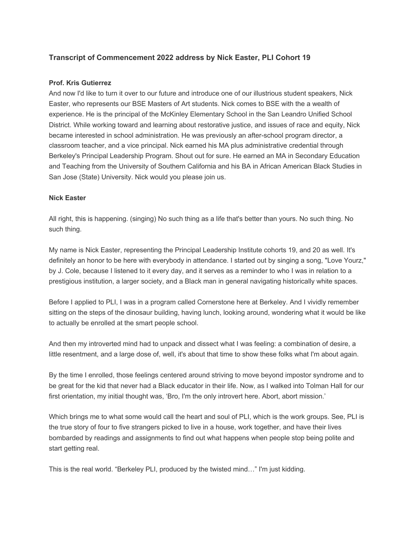# **Transcript of Commencement 2022 address by Nick Easter, PLI Cohort 19**

## **Prof. Kris Gutierrez**

And now I'd like to turn it over to our future and introduce one of our illustrious student speakers, Nick Easter, who represents our BSE Masters of Art students. Nick comes to BSE with the a wealth of experience. He is the principal of the McKinley Elementary School in the San Leandro Unified School District. While working toward and learning about restorative justice, and issues of race and equity, Nick became interested in school administration. He was previously an after-school program director, a classroom teacher, and a vice principal. Nick earned his MA plus administrative credential through Berkeley's Principal Leadership Program. Shout out for sure. He earned an MA in Secondary Education and Teaching from the University of Southern California and his BA in African American Black Studies in San Jose (State) University. Nick would you please join us.

### **Nick Easter**

All right, this is happening. (singing) No such thing as a life that's better than yours. No such thing. No such thing.

My name is Nick Easter, representing the Principal Leadership Institute cohorts 19, and 20 as well. It's definitely an honor to be here with everybody in attendance. I started out by singing a song, "Love Yourz," by J. Cole, because I listened to it every day, and it serves as a reminder to who I was in relation to a prestigious institution, a larger society, and a Black man in general navigating historically white spaces.

Before I applied to PLI, I was in a program called Cornerstone here at Berkeley. And I vividly remember sitting on the steps of the dinosaur building, having lunch, looking around, wondering what it would be like to actually be enrolled at the smart people school.

And then my introverted mind had to unpack and dissect what I was feeling: a combination of desire, a little resentment, and a large dose of, well, it's about that time to show these folks what I'm about again.

By the time I enrolled, those feelings centered around striving to move beyond impostor syndrome and to be great for the kid that never had a Black educator in their life. Now, as I walked into Tolman Hall for our first orientation, my initial thought was, 'Bro, I'm the only introvert here. Abort, abort mission.'

Which brings me to what some would call the heart and soul of PLI, which is the work groups. See, PLI is the true story of four to five strangers picked to live in a house, work together, and have their lives bombarded by readings and assignments to find out what happens when people stop being polite and start getting real.

This is the real world. "Berkeley PLI, produced by the twisted mind…" I'm just kidding.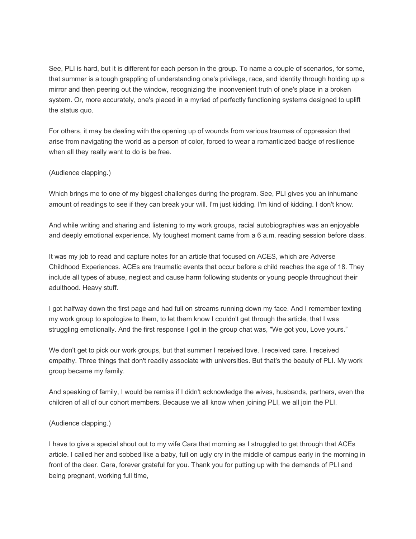See, PLI is hard, but it is different for each person in the group. To name a couple of scenarios, for some, that summer is a tough grappling of understanding one's privilege, race, and identity through holding up a mirror and then peering out the window, recognizing the inconvenient truth of one's place in a broken system. Or, more accurately, one's placed in a myriad of perfectly functioning systems designed to uplift the status quo.

For others, it may be dealing with the opening up of wounds from various traumas of oppression that arise from navigating the world as a person of color, forced to wear a romanticized badge of resilience when all they really want to do is be free.

## (Audience clapping.)

Which brings me to one of my biggest challenges during the program. See, PLI gives you an inhumane amount of readings to see if they can break your will. I'm just kidding. I'm kind of kidding. I don't know.

And while writing and sharing and listening to my work groups, racial autobiographies was an enjoyable and deeply emotional experience. My toughest moment came from a 6 a.m. reading session before class.

It was my job to read and capture notes for an article that focused on ACES, which are Adverse Childhood Experiences. ACEs are traumatic events that occur before a child reaches the age of 18. They include all types of abuse, neglect and cause harm following students or young people throughout their adulthood. Heavy stuff.

I got halfway down the first page and had full on streams running down my face. And I remember texting my work group to apologize to them, to let them know I couldn't get through the article, that I was struggling emotionally. And the first response I got in the group chat was, "We got you, Love yours."

We don't get to pick our work groups, but that summer I received love. I received care. I received empathy. Three things that don't readily associate with universities. But that's the beauty of PLI. My work group became my family.

And speaking of family, I would be remiss if I didn't acknowledge the wives, husbands, partners, even the children of all of our cohort members. Because we all know when joining PLI, we all join the PLI.

#### (Audience clapping.)

I have to give a special shout out to my wife Cara that morning as I struggled to get through that ACEs article. I called her and sobbed like a baby, full on ugly cry in the middle of campus early in the morning in front of the deer. Cara, forever grateful for you. Thank you for putting up with the demands of PLI and being pregnant, working full time,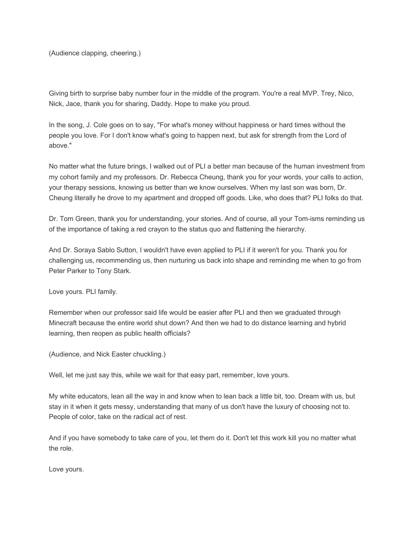(Audience clapping, cheering.)

Giving birth to surprise baby number four in the middle of the program. You're a real MVP. Trey, Nico, Nick, Jace, thank you for sharing, Daddy. Hope to make you proud.

In the song, J. Cole goes on to say, "For what's money without happiness or hard times without the people you love. For I don't know what's going to happen next, but ask for strength from the Lord of above."

No matter what the future brings, I walked out of PLI a better man because of the human investment from my cohort family and my professors. Dr. Rebecca Cheung, thank you for your words, your calls to action, your therapy sessions, knowing us better than we know ourselves. When my last son was born, Dr. Cheung literally he drove to my apartment and dropped off goods. Like, who does that? PLI folks do that.

Dr. Tom Green, thank you for understanding, your stories. And of course, all your Tom-isms reminding us of the importance of taking a red crayon to the status quo and flattening the hierarchy.

And Dr. Soraya Sablo Sutton, I wouldn't have even applied to PLI if it weren't for you. Thank you for challenging us, recommending us, then nurturing us back into shape and reminding me when to go from Peter Parker to Tony Stark.

Love yours. PLI family.

Remember when our professor said life would be easier after PLI and then we graduated through Minecraft because the entire world shut down? And then we had to do distance learning and hybrid learning, then reopen as public health officials?

(Audience, and Nick Easter chuckling.)

Well, let me just say this, while we wait for that easy part, remember, love yours.

My white educators, lean all the way in and know when to lean back a little bit, too. Dream with us, but stay in it when it gets messy, understanding that many of us don't have the luxury of choosing not to. People of color, take on the radical act of rest.

And if you have somebody to take care of you, let them do it. Don't let this work kill you no matter what the role.

Love yours.